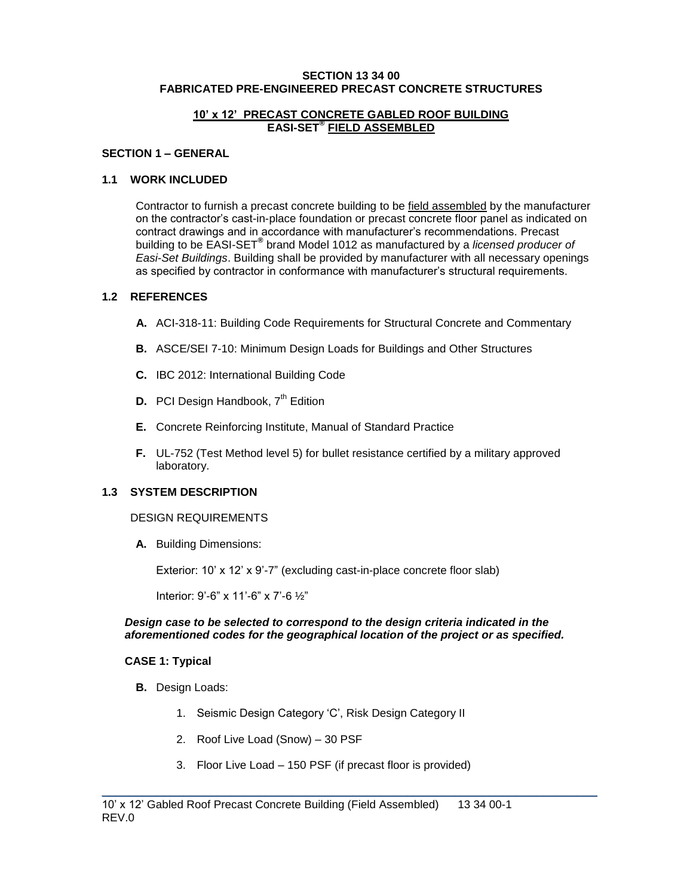#### **SECTION 13 34 00 FABRICATED PRE-ENGINEERED PRECAST CONCRETE STRUCTURES**

### **10' x 12' PRECAST CONCRETE GABLED ROOF BUILDING EASI-SET® FIELD ASSEMBLED**

### **SECTION 1 – GENERAL**

## **1.1 WORK INCLUDED**

Contractor to furnish a precast concrete building to be field assembled by the manufacturer on the contractor's cast-in-place foundation or precast concrete floor panel as indicated on contract drawings and in accordance with manufacturer's recommendations. Precast building to be EASI-SET® brand Model 1012 as manufactured by a *licensed producer of Easi-Set Buildings*. Building shall be provided by manufacturer with all necessary openings as specified by contractor in conformance with manufacturer's structural requirements.

## **1.2 REFERENCES**

- **A.** ACI-318-11: Building Code Requirements for Structural Concrete and Commentary
- **B.** ASCE/SEI 7-10: Minimum Design Loads for Buildings and Other Structures
- **C.** IBC 2012: International Building Code
- **D.** PCI Design Handbook, 7<sup>th</sup> Edition
- **E.** Concrete Reinforcing Institute, Manual of Standard Practice
- **F.** UL-752 (Test Method level 5) for bullet resistance certified by a military approved laboratory.

# **1.3 SYSTEM DESCRIPTION**

### DESIGN REQUIREMENTS

**A.** Building Dimensions:

Exterior: 10' x 12' x 9'-7" (excluding cast-in-place concrete floor slab)

Interior: 9'-6" x 11'-6" x 7'-6 ½"

### *Design case to be selected to correspond to the design criteria indicated in the aforementioned codes for the geographical location of the project or as specified.*

### **CASE 1: Typical**

- **B.** Design Loads:
	- 1. Seismic Design Category 'C', Risk Design Category II
	- 2. Roof Live Load (Snow) 30 PSF
	- 3. Floor Live Load 150 PSF (if precast floor is provided)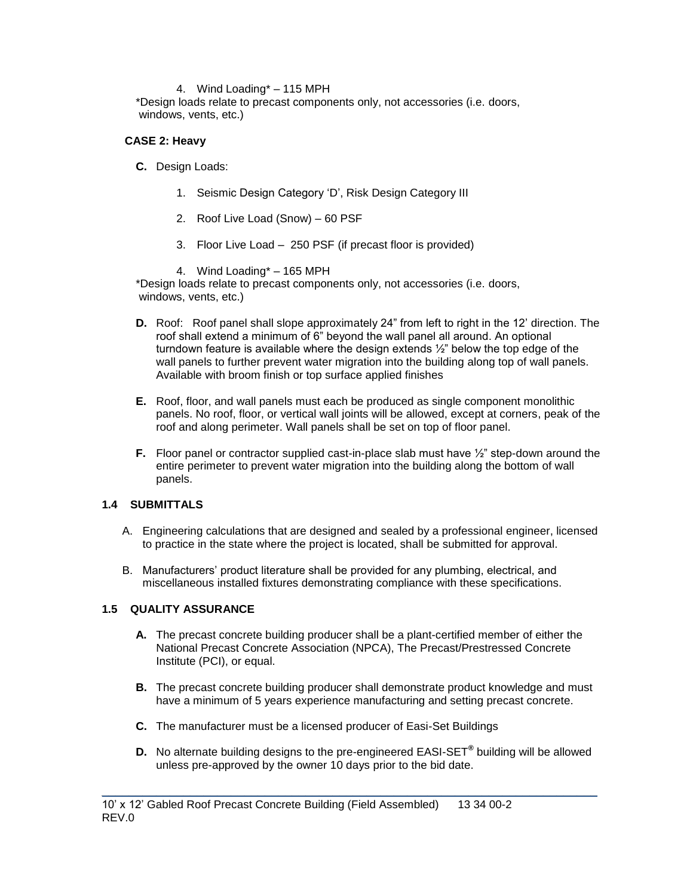## 4. Wind Loading\* – 115 MPH

\*Design loads relate to precast components only, not accessories (i.e. doors, windows, vents, etc.)

## **CASE 2: Heavy**

- **C.** Design Loads:
	- 1. Seismic Design Category 'D', Risk Design Category III
	- 2. Roof Live Load (Snow) 60 PSF
	- 3. Floor Live Load 250 PSF (if precast floor is provided)
	- 4. Wind Loading\* 165 MPH

\*Design loads relate to precast components only, not accessories (i.e. doors, windows, vents, etc.)

- **D.** Roof: Roof panel shall slope approximately 24" from left to right in the 12' direction. The roof shall extend a minimum of 6" beyond the wall panel all around. An optional turndown feature is available where the design extends ½" below the top edge of the wall panels to further prevent water migration into the building along top of wall panels. Available with broom finish or top surface applied finishes
- **E.** Roof, floor, and wall panels must each be produced as single component monolithic panels. No roof, floor, or vertical wall joints will be allowed, except at corners, peak of the roof and along perimeter. Wall panels shall be set on top of floor panel.
- **F.** Floor panel or contractor supplied cast-in-place slab must have  $\frac{1}{2}$ " step-down around the entire perimeter to prevent water migration into the building along the bottom of wall panels.

# **1.4 SUBMITTALS**

- A. Engineering calculations that are designed and sealed by a professional engineer, licensed to practice in the state where the project is located, shall be submitted for approval.
- B. Manufacturers' product literature shall be provided for any plumbing, electrical, and miscellaneous installed fixtures demonstrating compliance with these specifications.

# **1.5 QUALITY ASSURANCE**

- **A.** The precast concrete building producer shall be a plant-certified member of either the National Precast Concrete Association (NPCA), The Precast/Prestressed Concrete Institute (PCI), or equal.
- **B.** The precast concrete building producer shall demonstrate product knowledge and must have a minimum of 5 years experience manufacturing and setting precast concrete.
- **C.** The manufacturer must be a licensed producer of Easi-Set Buildings
- **D.** No alternate building designs to the pre-engineered EASI-SET**®** building will be allowed unless pre-approved by the owner 10 days prior to the bid date.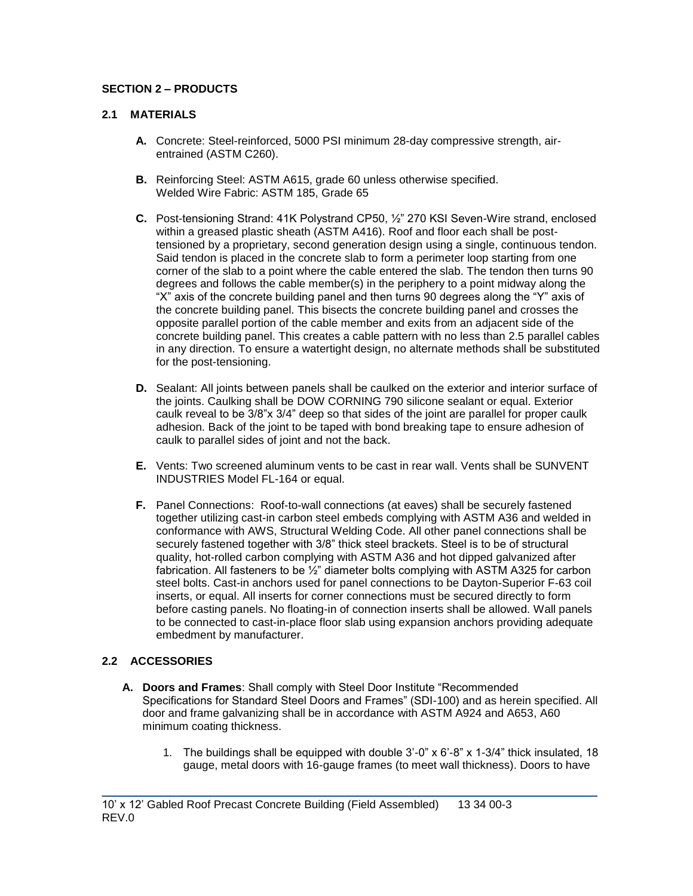# **SECTION 2 – PRODUCTS**

# **2.1 MATERIALS**

- **A.** Concrete: Steel-reinforced, 5000 PSI minimum 28-day compressive strength, airentrained (ASTM C260).
- **B.** Reinforcing Steel: ASTM A615, grade 60 unless otherwise specified. Welded Wire Fabric: ASTM 185, Grade 65
- **C.** Post-tensioning Strand: 41K Polystrand CP50, ½" 270 KSI Seven-Wire strand, enclosed within a greased plastic sheath (ASTM A416). Roof and floor each shall be posttensioned by a proprietary, second generation design using a single, continuous tendon. Said tendon is placed in the concrete slab to form a perimeter loop starting from one corner of the slab to a point where the cable entered the slab. The tendon then turns 90 degrees and follows the cable member(s) in the periphery to a point midway along the "X" axis of the concrete building panel and then turns 90 degrees along the "Y" axis of the concrete building panel. This bisects the concrete building panel and crosses the opposite parallel portion of the cable member and exits from an adjacent side of the concrete building panel. This creates a cable pattern with no less than 2.5 parallel cables in any direction. To ensure a watertight design, no alternate methods shall be substituted for the post-tensioning.
- **D.** Sealant: All joints between panels shall be caulked on the exterior and interior surface of the joints. Caulking shall be DOW CORNING 790 silicone sealant or equal. Exterior caulk reveal to be 3/8"x 3/4" deep so that sides of the joint are parallel for proper caulk adhesion. Back of the joint to be taped with bond breaking tape to ensure adhesion of caulk to parallel sides of joint and not the back.
- **E.** Vents: Two screened aluminum vents to be cast in rear wall. Vents shall be SUNVENT INDUSTRIES Model FL-164 or equal.
- **F.** Panel Connections: Roof-to-wall connections (at eaves) shall be securely fastened together utilizing cast-in carbon steel embeds complying with ASTM A36 and welded in conformance with AWS, Structural Welding Code. All other panel connections shall be securely fastened together with 3/8" thick steel brackets. Steel is to be of structural quality, hot-rolled carbon complying with ASTM A36 and hot dipped galvanized after fabrication. All fasteners to be ½" diameter bolts complying with ASTM A325 for carbon steel bolts. Cast-in anchors used for panel connections to be Dayton-Superior F-63 coil inserts, or equal. All inserts for corner connections must be secured directly to form before casting panels. No floating-in of connection inserts shall be allowed. Wall panels to be connected to cast-in-place floor slab using expansion anchors providing adequate embedment by manufacturer.

# **2.2 ACCESSORIES**

**A. Doors and Frames**: Shall comply with Steel Door Institute "Recommended Specifications for Standard Steel Doors and Frames" (SDI-100) and as herein specified. All door and frame galvanizing shall be in accordance with ASTM A924 and A653, A60 minimum coating thickness.

\_\_\_\_\_\_\_\_\_\_\_\_\_\_\_\_\_\_\_\_\_\_\_\_\_\_\_\_\_\_\_\_\_\_\_\_\_\_\_\_\_\_\_\_\_\_\_\_\_\_\_\_\_\_\_\_\_\_\_\_\_\_\_\_\_\_\_\_\_\_\_\_\_

1. The buildings shall be equipped with double 3'-0" x 6'-8" x 1-3/4" thick insulated, 18 gauge, metal doors with 16-gauge frames (to meet wall thickness). Doors to have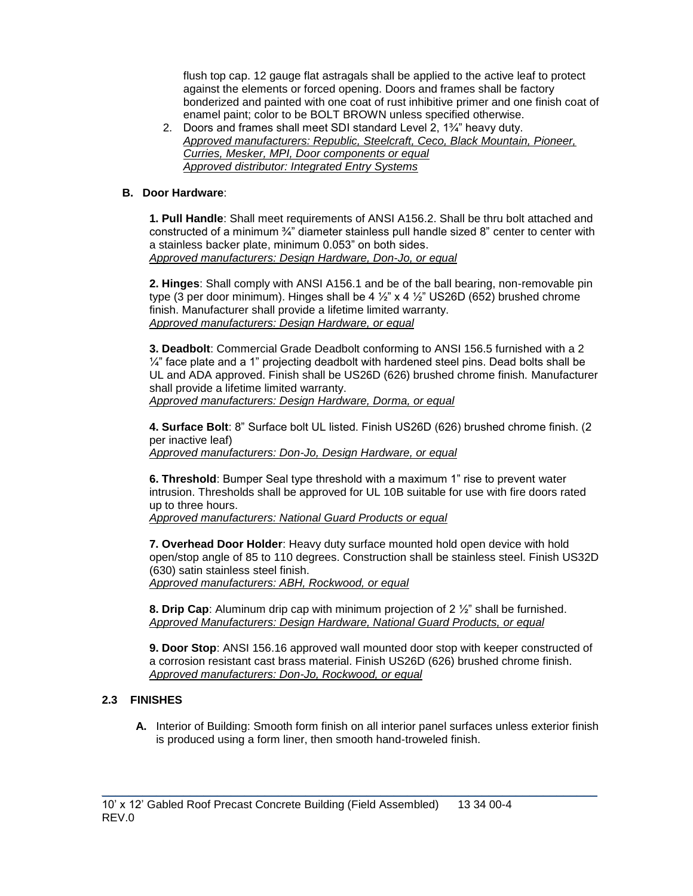flush top cap. 12 gauge flat astragals shall be applied to the active leaf to protect against the elements or forced opening. Doors and frames shall be factory bonderized and painted with one coat of rust inhibitive primer and one finish coat of enamel paint; color to be BOLT BROWN unless specified otherwise.

2. Doors and frames shall meet SDI standard Level 2, 1¾" heavy duty. *Approved manufacturers: Republic, Steelcraft, Ceco, Black Mountain, Pioneer, Curries, Mesker, MPI, Door components or equal Approved distributor: Integrated Entry Systems*

# **B. Door Hardware**:

**1. Pull Handle**: Shall meet requirements of ANSI A156.2. Shall be thru bolt attached and constructed of a minimum  $\frac{3}{4}$ " diameter stainless pull handle sized 8" center to center with a stainless backer plate, minimum 0.053" on both sides. *Approved manufacturers: Design Hardware, Don-Jo, or equal*

**2. Hinges**: Shall comply with ANSI A156.1 and be of the ball bearing, non-removable pin type (3 per door minimum). Hinges shall be 4  $\frac{1}{2}$  x 4  $\frac{1}{2}$  US26D (652) brushed chrome finish. Manufacturer shall provide a lifetime limited warranty. *Approved manufacturers: Design Hardware, or equal*

**3. Deadbolt**: Commercial Grade Deadbolt conforming to ANSI 156.5 furnished with a 2  $\frac{1}{4}$ " face plate and a 1" projecting deadbolt with hardened steel pins. Dead bolts shall be UL and ADA approved. Finish shall be US26D (626) brushed chrome finish. Manufacturer shall provide a lifetime limited warranty. *Approved manufacturers: Design Hardware, Dorma, or equal*

**4. Surface Bolt**: 8" Surface bolt UL listed. Finish US26D (626) brushed chrome finish. (2 per inactive leaf)

*Approved manufacturers: Don-Jo, Design Hardware, or equal*

**6. Threshold**: Bumper Seal type threshold with a maximum 1" rise to prevent water intrusion. Thresholds shall be approved for UL 10B suitable for use with fire doors rated up to three hours.

*Approved manufacturers: National Guard Products or equal* 

**7. Overhead Door Holder**: Heavy duty surface mounted hold open device with hold open/stop angle of 85 to 110 degrees. Construction shall be stainless steel. Finish US32D (630) satin stainless steel finish. *Approved manufacturers: ABH, Rockwood, or equal*

**8. Drip Cap**: Aluminum drip cap with minimum projection of 2 ½" shall be furnished. *Approved Manufacturers: Design Hardware, National Guard Products, or equal*

**9. Door Stop**: ANSI 156.16 approved wall mounted door stop with keeper constructed of a corrosion resistant cast brass material. Finish US26D (626) brushed chrome finish. *Approved manufacturers: Don-Jo, Rockwood, or equal*

# **2.3 FINISHES**

**A.** Interior of Building: Smooth form finish on all interior panel surfaces unless exterior finish is produced using a form liner, then smooth hand-troweled finish.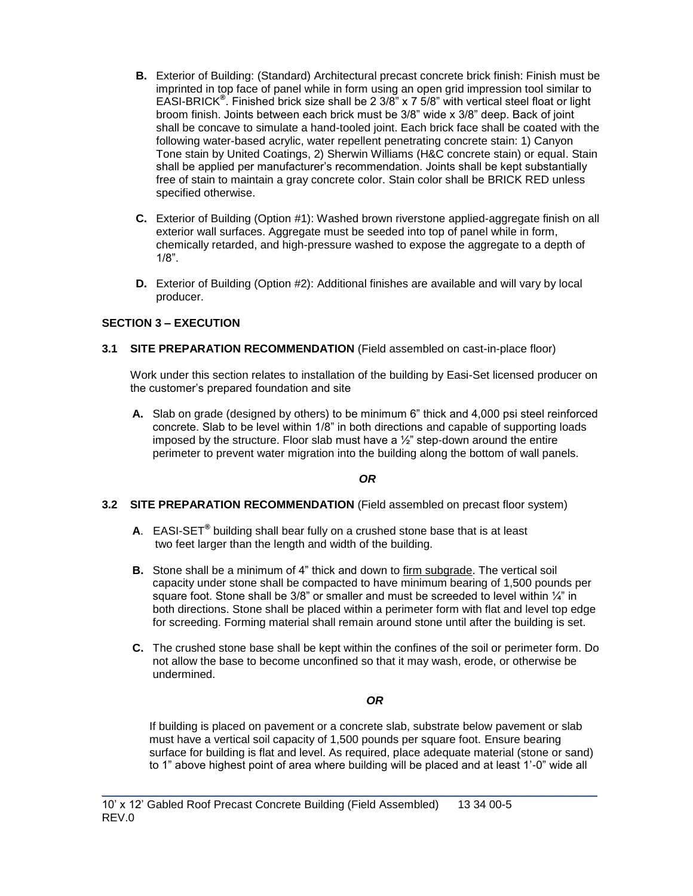- **B.** Exterior of Building: (Standard) Architectural precast concrete brick finish: Finish must be imprinted in top face of panel while in form using an open grid impression tool similar to EASI-BRICK**®** . Finished brick size shall be 2 3/8" x 7 5/8" with vertical steel float or light broom finish. Joints between each brick must be 3/8" wide x 3/8" deep. Back of joint shall be concave to simulate a hand-tooled joint. Each brick face shall be coated with the following water-based acrylic, water repellent penetrating concrete stain: 1) Canyon Tone stain by United Coatings, 2) Sherwin Williams (H&C concrete stain) or equal. Stain shall be applied per manufacturer's recommendation. Joints shall be kept substantially free of stain to maintain a gray concrete color. Stain color shall be BRICK RED unless specified otherwise.
- **C.** Exterior of Building (Option #1): Washed brown riverstone applied-aggregate finish on all exterior wall surfaces. Aggregate must be seeded into top of panel while in form, chemically retarded, and high-pressure washed to expose the aggregate to a depth of 1/8".
- **D.** Exterior of Building (Option #2): Additional finishes are available and will vary by local producer.

# **SECTION 3 – EXECUTION**

## **3.1 SITE PREPARATION RECOMMENDATION** (Field assembled on cast-in-place floor)

Work under this section relates to installation of the building by Easi-Set licensed producer on the customer's prepared foundation and site

**A.** Slab on grade (designed by others) to be minimum 6" thick and 4,000 psi steel reinforced concrete. Slab to be level within 1/8" in both directions and capable of supporting loads imposed by the structure. Floor slab must have a  $\frac{1}{2}$ " step-down around the entire perimeter to prevent water migration into the building along the bottom of wall panels.

# *OR*

### **3.2 SITE PREPARATION RECOMMENDATION** (Field assembled on precast floor system)

- **A**. EASI-SET**®** building shall bear fully on a crushed stone base that is at least two feet larger than the length and width of the building.
- **B.** Stone shall be a minimum of 4" thick and down to firm subgrade. The vertical soil capacity under stone shall be compacted to have minimum bearing of 1,500 pounds per square foot. Stone shall be  $3/8$ " or smaller and must be screeded to level within  $\frac{1}{4}$ " in both directions. Stone shall be placed within a perimeter form with flat and level top edge for screeding. Forming material shall remain around stone until after the building is set.
- **C.** The crushed stone base shall be kept within the confines of the soil or perimeter form. Do not allow the base to become unconfined so that it may wash, erode, or otherwise be undermined.

# *OR*

If building is placed on pavement or a concrete slab, substrate below pavement or slab must have a vertical soil capacity of 1,500 pounds per square foot. Ensure bearing surface for building is flat and level. As required, place adequate material (stone or sand) to 1" above highest point of area where building will be placed and at least 1'-0" wide all